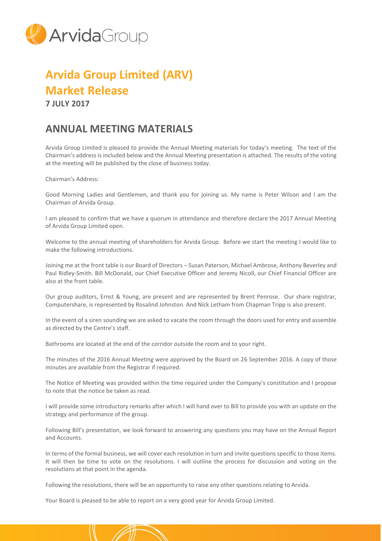

## **Arvida Group Limited (ARV) Market Release**

**7 JULY 2017**

## **ANNUAL MEETING MATERIALS**

Arvida Group Limited is pleased to provide the Annual Meeting materials for today's meeting. The text of the Chairman's address is included below and the Annual Meeting presentation is attached. The results of the voting at the meeting will be published by the close of business today.

Chairman's Address:

Good Morning Ladies and Gentlemen, and thank you for joining us. My name is Peter Wilson and I am the Chairman of Arvida Group.

I am pleased to confirm that we have a quorum in attendance and therefore declare the 2017 Annual Meeting of Arvida Group Limited open.

Welcome to the annual meeting of shareholders for Arvida Group. Before we start the meeting I would like to make the following introductions.

Joining me at the front table is our Board of Directors – Susan Paterson, Michael Ambrose, Anthony Beverley and Paul Ridley-Smith. Bill McDonald, our Chief Executive Officer and Jeremy Nicoll, our Chief Financial Officer are also at the front table.

Our group auditors, Ernst & Young, are present and are represented by Brent Penrose. Our share registrar, Computershare, is represented by Rosalind Johnston. And Nick Letham from Chapman Tripp is also present.

In the event of a siren sounding we are asked to vacate the room through the doors used for entry and assemble as directed by the Centre's staff.

Bathrooms are located at the end of the corridor outside the room and to your right.

The minutes of the 2016 Annual Meeting were approved by the Board on 26 September 2016. A copy of those minutes are available from the Registrar if required.

The Notice of Meeting was provided within the time required under the Company's constitution and I propose to note that the notice be taken as read.

I will provide some introductory remarks after which I will hand over to Bill to provide you with an update on the strategy and performance of the group.

Following Bill's presentation, we look forward to answering any questions you may have on the Annual Report and Accounts.

In terms of the formal business, we will cover each resolution in turn and invite questions specific to those items. It will then be time to vote on the resolutions. I will outline the process for discussion and voting on the resolutions at that point in the agenda.

Following the resolutions, there will be an opportunity to raise any other questions relating to Arvida.

Your Board is pleased to be able to report on a very good year for Arvida Group Limited.